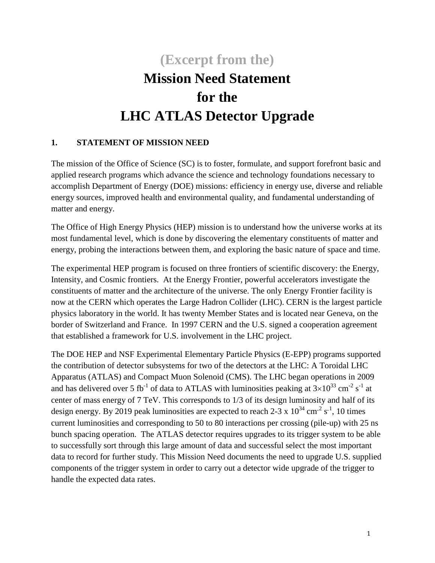# **(Excerpt from the) Mission Need Statement for the LHC ATLAS Detector Upgrade**

# **1. STATEMENT OF MISSION NEED**

The mission of the Office of Science (SC) is to foster, formulate, and support forefront basic and applied research programs which advance the science and technology foundations necessary to accomplish Department of Energy (DOE) missions: efficiency in energy use, diverse and reliable energy sources, improved health and environmental quality, and fundamental understanding of matter and energy.

The Office of High Energy Physics (HEP) mission is to understand how the universe works at its most fundamental level, which is done by discovering the elementary constituents of matter and energy, probing the interactions between them, and exploring the basic nature of space and time.

The experimental HEP program is focused on three frontiers of scientific discovery: the Energy, Intensity, and Cosmic frontiers. At the [Energy Frontier,](http://science.energy.gov/hep/about/) powerful accelerators investigate the constituents of matter and the architecture of the universe. The only Energy Frontier facility is now at the CERN which operates the Large Hadron Collider (LHC). CERN is the largest particle physics laboratory in the world. It has twenty Member States and is located near Geneva, on the border of Switzerland and France. In 1997 CERN and the U.S. signed a cooperation agreement that established a framework for U.S. involvement in the LHC project.

The DOE HEP and NSF Experimental Elementary Particle Physics (E-EPP) programs supported the contribution of detector subsystems for two of the detectors at the LHC: A Toroidal LHC Apparatus (ATLAS) and Compact Muon Solenoid (CMS). The LHC began operations in 2009 and has delivered over 5 fb<sup>-1</sup> of data to ATLAS with luminosities peaking at  $3\times10^{33}$  cm<sup>-2</sup> s<sup>-1</sup> at center of mass energy of 7 TeV. This corresponds to 1/3 of its design luminosity and half of its design energy. By 2019 peak luminosities are expected to reach 2-3 x  $10^{34}$  cm<sup>-2</sup> s<sup>-1</sup>, 10 times current luminosities and corresponding to 50 to 80 interactions per crossing (pile-up) with 25 ns bunch spacing operation. The ATLAS detector requires upgrades to its trigger system to be able to successfully sort through this large amount of data and successful select the most important data to record for further study. This Mission Need documents the need to upgrade U.S. supplied components of the trigger system in order to carry out a detector wide upgrade of the trigger to handle the expected data rates.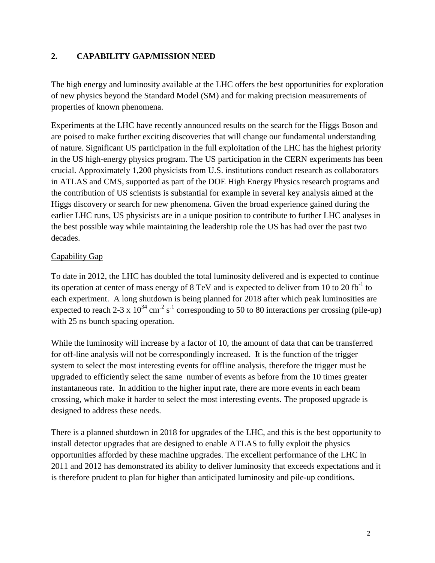# **2. CAPABILITY GAP/MISSION NEED**

The high energy and luminosity available at the LHC offers the best opportunities for exploration of new physics beyond the Standard Model (SM) and for making precision measurements of properties of known phenomena.

Experiments at the LHC have recently announced results on the search for the Higgs Boson and are poised to make further exciting discoveries that will change our fundamental understanding of nature. Significant US participation in the full exploitation of the LHC has the highest priority in the US high-energy physics program. The US participation in the CERN experiments has been crucial. Approximately 1,200 physicists from U.S. institutions conduct research as collaborators in ATLAS and CMS, supported as part of the DOE High Energy Physics research programs and the contribution of US scientists is substantial for example in several key analysis aimed at the Higgs discovery or search for new phenomena. Given the broad experience gained during the earlier LHC runs, US physicists are in a unique position to contribute to further LHC analyses in the best possible way while maintaining the leadership role the US has had over the past two decades.

# Capability Gap

To date in 2012, the LHC has doubled the total luminosity delivered and is expected to continue its operation at center of mass energy of 8 TeV and is expected to deliver from 10 to 20 fb<sup>-1</sup> to each experiment. A long shutdown is being planned for 2018 after which peak luminosities are expected to reach 2-3 x  $10^{34}$  cm<sup>-2</sup> s<sup>-1</sup> corresponding to 50 to 80 interactions per crossing (pile-up) with 25 ns bunch spacing operation.

While the luminosity will increase by a factor of 10, the amount of data that can be transferred for off-line analysis will not be correspondingly increased. It is the function of the trigger system to select the most interesting events for offline analysis, therefore the trigger must be upgraded to efficiently select the same number of events as before from the 10 times greater instantaneous rate. In addition to the higher input rate, there are more events in each beam crossing, which make it harder to select the most interesting events. The proposed upgrade is designed to address these needs.

There is a planned shutdown in 2018 for upgrades of the LHC, and this is the best opportunity to install detector upgrades that are designed to enable ATLAS to fully exploit the physics opportunities afforded by these machine upgrades. The excellent performance of the LHC in 2011 and 2012 has demonstrated its ability to deliver luminosity that exceeds expectations and it is therefore prudent to plan for higher than anticipated luminosity and pile-up conditions.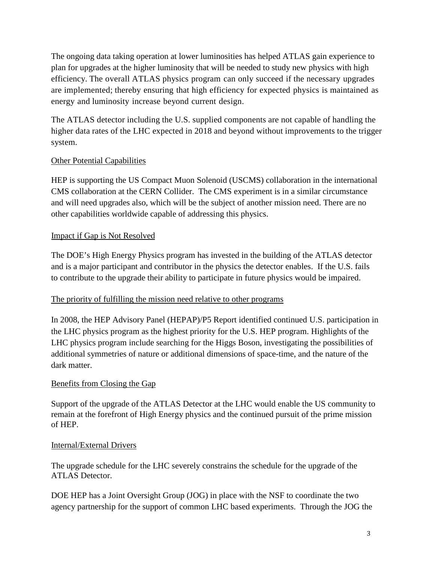The ongoing data taking operation at lower luminosities has helped ATLAS gain experience to plan for upgrades at the higher luminosity that will be needed to study new physics with high efficiency. The overall ATLAS physics program can only succeed if the necessary upgrades are implemented; thereby ensuring that high efficiency for expected physics is maintained as energy and luminosity increase beyond current design.

The ATLAS detector including the U.S. supplied components are not capable of handling the higher data rates of the LHC expected in 2018 and beyond without improvements to the trigger system.

# Other Potential Capabilities

HEP is supporting the US Compact Muon Solenoid (USCMS) collaboration in the international CMS collaboration at the CERN Collider. The CMS experiment is in a similar circumstance and will need upgrades also, which will be the subject of another mission need. There are no other capabilities worldwide capable of addressing this physics.

#### Impact if Gap is Not Resolved

The DOE's High Energy Physics program has invested in the building of the ATLAS detector and is a major participant and contributor in the physics the detector enables. If the U.S. fails to contribute to the upgrade their ability to participate in future physics would be impaired.

#### The priority of fulfilling the mission need relative to other programs

In 2008, the HEP Advisory Panel (HEPAP)/P5 Report identified continued U.S. participation in the LHC physics program as the highest priority for the U.S. HEP program. Highlights of the LHC physics program include searching for the Higgs Boson, investigating the possibilities of additional symmetries of nature or additional dimensions of space-time, and the nature of the dark matter.

#### Benefits from Closing the Gap

Support of the upgrade of the ATLAS Detector at the LHC would enable the US community to remain at the forefront of High Energy physics and the continued pursuit of the prime mission of HEP.

#### Internal/External Drivers

The upgrade schedule for the LHC severely constrains the schedule for the upgrade of the ATLAS Detector.

DOE HEP has a Joint Oversight Group (JOG) in place with the NSF to coordinate the two agency partnership for the support of common LHC based experiments. Through the JOG the